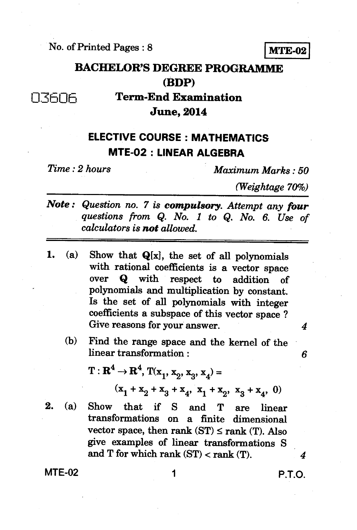No. of Printed Pages : 8 **MTE-02** 

## **BACHELOR'S DEGREE PROGRAMME (BDP)**

**07606 Term-End Examination June, 2014** 

## **ELECTIVE COURSE : MATHEMATICS MTE-02 : LINEAR ALGEBRA**

*Time : 2 hours Maximum Marks : 50* 

*(Weightage 70%)* 

- *Note : Question no. 7 is compulsory. Attempt any four questions from Q. No. 1 to Q. No. 6. Use of calculators is not allowed.*
- **1. (a) Show that Q[x], the set of all polynomials with rational coefficients is a vector space over Q with respect to addition of polynomials and multiplication by constant. Is the set of all polynomials with integer coefficients a subspace of this vector space ? Give reasons for your answer.** *4* 
	- **(b) Find the range space and the kernel of the linear transformation :** *6*

 $T: \mathbf{R}^4 \to \mathbf{R}^4$ ,  $T(\mathbf{x}_1, \mathbf{x}_2, \mathbf{x}_3, \mathbf{x}_4) =$  $(x_1 + x_2 + x_3 + x_4, x_1 + x_2, x_3 + x_4, 0)$ 

*2. (a)* **Show that if S and T are linear transformations on a finite dimensional**  vector space, then rank  $(ST) \leq rank(T)$ . Also **give examples of linear transformations S and T for which rank (ST) < rank (T).** *4* 

**MTE-02 1 P.T.O.**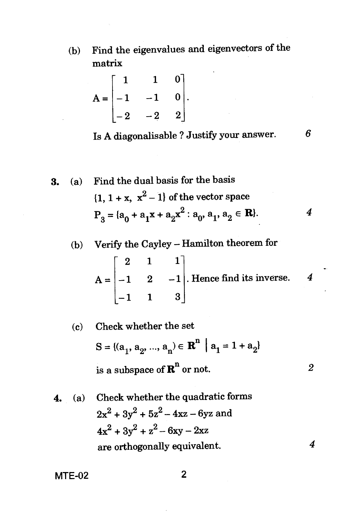(b) Find the eigenvalues and eigenvectors of the matrix

$$
A = \begin{bmatrix} 1 & 1 & 0 \\ -1 & -1 & 0 \\ -2 & -2 & 2 \end{bmatrix}.
$$

Is A diagonalisable ? Justify your answer.

6

**3.** (a) Find the dual basis for the basis  
\n
$$
\{1, 1 + x, x^2 - 1\} \text{ of the vector space}
$$
\n
$$
P_3 = \{a_0 + a_1x + a_2x^2 : a_0, a_1, a_2 \in \mathbf{R}\}.
$$

(b) Verify the Cayley — Hamilton theorem for

$$
A = \begin{bmatrix} 2 & 1 & 1 \\ -1 & 2 & -1 \\ -1 & 1 & 3 \end{bmatrix}.
$$
 Hence find its inverse. 4

(c) Check whether the set  
\n
$$
S = \{(a_1, a_2, ..., a_n) \in \mathbb{R}^n \mid a_1 = 1 + a_2\}
$$
\nis a subspace of  $\mathbb{R}^n$  or not.

. (a) Check whether the quadratic forms  $2x^2 + 3y^2 + 5z^2 - 4xz - 6yz$  and  $4x^2+3y^2+z^2-6xy-2xz$ are orthogonally equivalent.  $\overline{4}$ 

MTE-02 2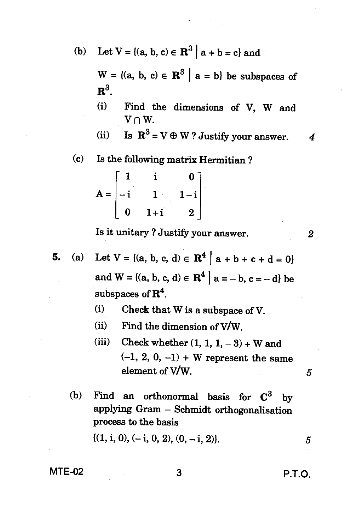(b) Let  $V = \{(a, b, c) \in \mathbb{R}^3 \mid a + b = c\}$  and

 $W = \{(a, b, c) \in \mathbb{R}^3 \mid a = b\}$  be subspaces of  $\mathbf{R}^3$ .

- **(i) Find the dimensions of V, W and**   $V \cap W$ .
- (ii) Is  $\mathbb{R}^3 = V \oplus W$ ? Justify your answer. 4
- *(c)* **Is the following matrix Hermitian ?**

$$
A = \begin{bmatrix} 1 & i & 0 \\ -i & 1 & 1 - i \\ 0 & 1 + i & 2 \end{bmatrix}
$$

**Is it unitary ? Justify your answer.** *2* 

**5.** (a) Let  $V = \{(a, b, c, d) \in \mathbb{R}^4 \mid a + b + c + d = 0\}$ and  $W = \{(a, b, c, d) \in \mathbb{R}^4 \mid a = -b, c = -d\}$  be **subspaces of R4.** 

- **(i) Check that W is a subspace of V.**
- (ii) Find the dimension of  $V/W$ .
- (iii) Check whether  $(1, 1, 1, -3) + W$  and **(-1, 2, 0, —1) + W represent the same element of V/W.** *5*
- (b) Find an orthonormal basis for  $C^3$  by **applying Gram — Schmidt orthogonalisation process to the basis**

 $\{(1, i, 0), (-i, 0, 2), (0, -i, 2)\}.$  5

## **MTE-02 3 P.T.O.**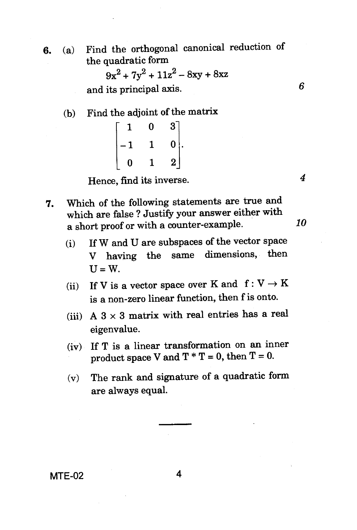**6.**  (a) Find the orthogonal canonical reduction of the quadratic form

 $9x^2 + 7y^2 + 11z^2 - 8xy + 8xz$ 

and its principal axis. *6* 

(b) Find the adjoint of the matrix

|   | 0 | 3 <sup>1</sup>    |
|---|---|-------------------|
| 1 |   | $\vert 0 \rangle$ |
| O |   | 2                 |

Hence, find its inverse. *4* 

- **7.**  Which of the following statements are true and which are false ? Justify your answer either with a short proof or with a counter-example. *10* 
	- (i) If W and U are subspaces of the vector space V having the same dimensions, then  $U = W$ .
	- (ii) If V is a vector space over K and  $f: V \to K$ is a non-zero linear function, then f is onto.
	- (iii) A  $3 \times 3$  matrix with real entries has a real eigenvalue.
	- (iv) If T is a linear transformation on an inner product space V and  $T * T = 0$ , then  $T = 0$ .
	- (v) The rank and signature of a quadratic form are always equal.

MTE-02 4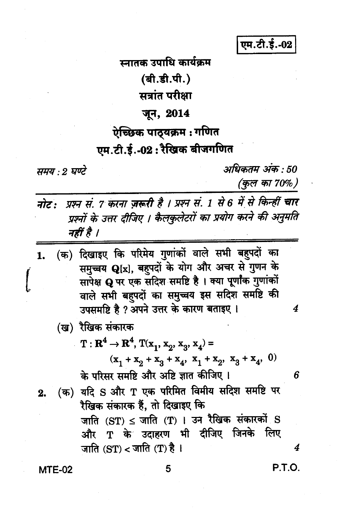एम.टी.ई.-02

स्नातक उपाधि कार्यक्रम (बी.डी.पी.) सत्रांत परीक्षा जून, 2014 ऐच्छिक पाठ्यक्रम : गणित एम.टी.ई.-02 : रैखिक बीजगणित

समय : 2 घण्टे

अधिकतम् अंक : 50 (कुल का 70%)

नोट: प्रश्न सं. 7 करना ज़रूरी है । प्रश्न सं. 1 से 6 में से किन्हीं चार प्रश्नों के उत्तर दीजिए । कैलकुलेटरों का प्रयोग करने की अनुमति नहीं है ।

- (क) दिखाइए कि परिमेय गुणांकों वाले सभी बहुपदों का 1. समुच्चय Q[x], बहुपदों के योग और अचर से गुणन के सापेक्ष Q पर एक संदिश समष्टि है। क्या पूर्णांक गुणांकों वाले सभी बहुपदों का समुच्चय इस सदिश समष्टि की उपसमष्टि है ? अपने उत्तर के कारण बताइए।
	- (ख) रैखिक संकारक
		- $\mathbf{T}: \mathbf{R}^4 \to \mathbf{R}^4$ ,  $\mathbf{T}(\mathbf{x}_1, \mathbf{x}_2, \mathbf{x}_3, \mathbf{x}_4) =$

 $(x_1 + x_2 + x_3 + x_4, x_1 + x_2, x_3 + x_4, 0)$ के परिसर समष्टि और अष्टि ज्ञात कीजिए ।

(क) यदि S और T एक परिमित विमीय सदिश समष्टि पर 2. रैखिक संकारक हैं, तो दिखाइए कि जाति  $(ST) \leq \pi$ ाति  $(T)$  । उन रैखिक संकारकों  $S$ 

और T के उदाहरण भी दीजिए जिनके लिए जाति  $(ST) <$ जाति  $T)$  है ।

 $MTE-02$ 

5

P.T.O.

4

4

6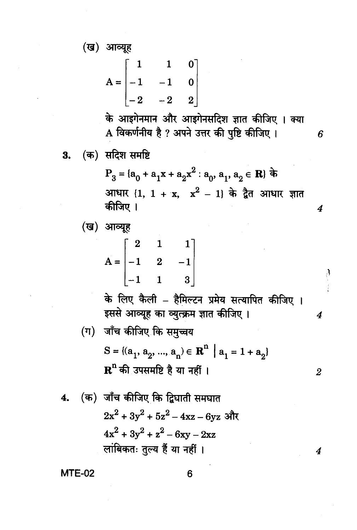(ख) आव्यूह

$$
A = \begin{bmatrix} 1 & 1 & 0 \\ -1 & -1 & 0 \\ -2 & -2 & 2 \end{bmatrix}
$$

के आइगेनमान और आइगेनसदिश ज्ञात कीजिए । क्या A विकर्णनीय है ? अपने उत्तर की पुष्टि कीजिए। 6

(क) सदिश समष्टि 3.

> P<sub>3</sub> = {a<sub>0</sub> + a<sub>1</sub>x + a<sub>2</sub>x<sup>2</sup> : a<sub>0</sub>, a<sub>1</sub>, a<sub>2</sub> ∈ **R**} के आधार  $\{1, 1 + x, x^2 - 1\}$  के द्वैत आधार ज्ञात कीजिए ।  $\overline{4}$

(ख) आव्यह

$$
A = \begin{bmatrix} 2 & 1 & 1 \\ -1 & 2 & -1 \\ -1 & 1 & 3 \end{bmatrix}
$$

के लिए कैली – हैमिल्टन प्रमेय सत्यापित कीजिए । इससे आव्यूह का व्युत्क्रम ज्ञात कीजिए।

 $\sum_{i=1}^{n}$ 

 $\boldsymbol{4}$ 

 $\boldsymbol{2}$ 

4

(ग) जाँच कीजिए कि समुच्चय  $S = \{(a_1, a_2, ..., a_n) \in \mathbb{R}^n \mid a_1 = 1 + a_2\}$  ${\bf R}^{\rm n}$  की उपसमष्टि है या नहीं ।

4. (क) जाँच कीजिए कि द्विघाती समघात  

$$
2x^2 + 3y^2 + 5z^2 - 4xz - 6yz
$$
 और  

$$
4x^2 + 3y^2 + z^2 - 6xy - 2xz
$$
 लांबिकतः तुल्य हैं या नहीं ।

**MTE-02**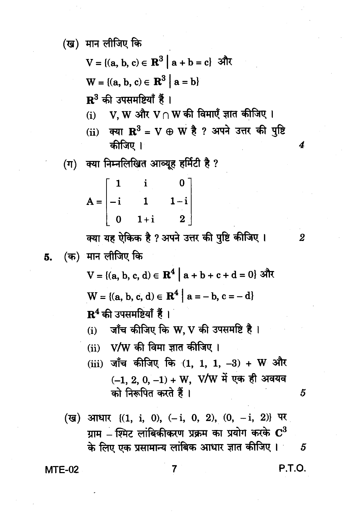(ख) मान लीजिए कि

 $(\Pi)$ 

$$
V = \{(a, b, c) \in \mathbb{R}^3 \mid a + b = c\}
$$
')}  
W = \{(a, b, c) \in \mathbb{R}^3 \mid a = b\}  
R<sup>3</sup> की उपसमष्टियाँ हैं ।  
(i) V, W और V∩ W की विमाएँ ज्ञात कीजिए  
(ii) क्या  $\mathbb{R}^3 = V \oplus W$  है ? अपने उत्तर की  
कीजिए ।  
क्या निम्नलिखित आव्यूह हर्मिटी है ?  
\n[1 i 0]

 $A = \begin{vmatrix} -i & 1 & 1-i \\ 0 & 1+i & 2 \end{vmatrix}$ 

क्या यह ऐकिक है ? अपने उत्तर की पुष्टि कीजिए । (क) मान लीजिए कि 5.

> V = {(a, b, c, d) ∈  $\mathbf{R}^4$  | a + b + c + d = 0} और  $W = \{(a, b, c, d) \in \mathbb{R}^4 \mid a = -b, c = -d\}$  $\mathbf{R}^4$  की उपसमष्टियाँ हैं।

- V/W की विमा ज्ञात कीजिए ।  $(ii)$
- (iii) जाँच कीजिए कि  $(1, 1, 1, -3) + W$  और  $(-1, 2, 0, -1) + W$ , V/W में एक ही अवयव को निरूपित करते हैं।

**MTE-02** 

**P.T.O.** 

5

पृष्टि

4

 $\boldsymbol{2}$